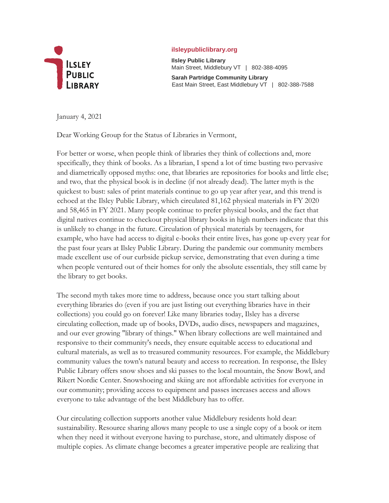

## **ilsleypubliclibrary.org**

**Ilsley Public Library**  Main Street, Middlebury VT | 802-388-4095

**Sarah Partridge Community Library**  East Main Street, East Middlebury VT | 802-388-7588

January 4, 2021

Dear Working Group for the Status of Libraries in Vermont,

For better or worse, when people think of libraries they think of collections and, more specifically, they think of books. As a librarian, I spend a lot of time busting two pervasive and diametrically opposed myths: one, that libraries are repositories for books and little else; and two, that the physical book is in decline (if not already dead). The latter myth is the quickest to bust: sales of print materials continue to go up year after year, and this trend is echoed at the Ilsley Public Library, which circulated 81,162 physical materials in FY 2020 and 58,465 in FY 2021. Many people continue to prefer physical books, and the fact that digital natives continue to checkout physical library books in high numbers indicate that this is unlikely to change in the future. Circulation of physical materials by teenagers, for example, who have had access to digital e-books their entire lives, has gone up every year for the past four years at Ilsley Public Library. During the pandemic our community members made excellent use of our curbside pickup service, demonstrating that even during a time when people ventured out of their homes for only the absolute essentials, they still came by the library to get books.

The second myth takes more time to address, because once you start talking about everything libraries do (even if you are just listing out everything libraries have in their collections) you could go on forever! Like many libraries today, Ilsley has a diverse circulating collection, made up of books, DVDs, audio discs, newspapers and magazines, and our ever growing "library of things." When library collections are well maintained and responsive to their community's needs, they ensure equitable access to educational and cultural materials, as well as to treasured community resources. For example, the Middlebury community values the town's natural beauty and access to recreation. In response, the Ilsley Public Library offers snow shoes and ski passes to the local mountain, the Snow Bowl, and Rikert Nordic Center. Snowshoeing and skiing are not affordable activities for everyone in our community; providing access to equipment and passes increases access and allows everyone to take advantage of the best Middlebury has to offer.

Our circulating collection supports another value Middlebury residents hold dear: sustainability. Resource sharing allows many people to use a single copy of a book or item when they need it without everyone having to purchase, store, and ultimately dispose of multiple copies. As climate change becomes a greater imperative people are realizing that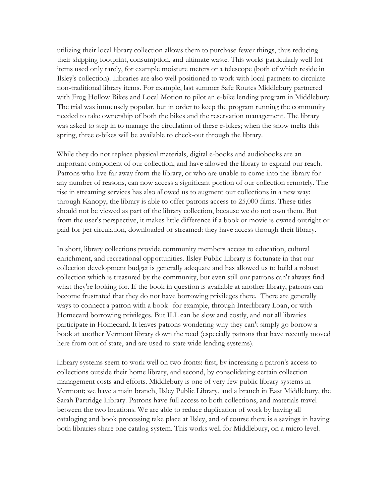utilizing their local library collection allows them to purchase fewer things, thus reducing their shipping footprint, consumption, and ultimate waste. This works particularly well for items used only rarely, for example moisture meters or a telescope (both of which reside in Ilsley's collection). Libraries are also well positioned to work with local partners to circulate non-traditional library items. For example, last summer Safe Routes Middlebury partnered with Frog Hollow Bikes and Local Motion to pilot an e-bike lending program in Middlebury. The trial was immensely popular, but in order to keep the program running the community needed to take ownership of both the bikes and the reservation management. The library was asked to step in to manage the circulation of these e-bikes; when the snow melts this spring, three e-bikes will be available to check-out through the library.

While they do not replace physical materials, digital e-books and audiobooks are an important component of our collection, and have allowed the library to expand our reach. Patrons who live far away from the library, or who are unable to come into the library for any number of reasons, can now access a significant portion of our collection remotely. The rise in streaming services has also allowed us to augment our collections in a new way: through Kanopy, the library is able to offer patrons access to 25,000 films. These titles should not be viewed as part of the library collection, because we do not own them. But from the user's perspective, it makes little difference if a book or movie is owned outright or paid for per circulation, downloaded or streamed: they have access through their library.

In short, library collections provide community members access to education, cultural enrichment, and recreational opportunities. Ilsley Public Library is fortunate in that our collection development budget is generally adequate and has allowed us to build a robust collection which is treasured by the community, but even still our patrons can't always find what they're looking for. If the book in question is available at another library, patrons can become frustrated that they do not have borrowing privileges there. There are generally ways to connect a patron with a book--for example, through Interlibrary Loan, or with Homecard borrowing privileges. But ILL can be slow and costly, and not all libraries participate in Homecard. It leaves patrons wondering why they can't simply go borrow a book at another Vermont library down the road (especially patrons that have recently moved here from out of state, and are used to state wide lending systems).

Library systems seem to work well on two fronts: first, by increasing a patron's access to collections outside their home library, and second, by consolidating certain collection management costs and efforts. Middlebury is one of very few public library systems in Vermont; we have a main branch, Ilsley Public Library, and a branch in East Middlebury, the Sarah Partridge Library. Patrons have full access to both collections, and materials travel between the two locations. We are able to reduce duplication of work by having all cataloging and book processing take place at Ilsley, and of course there is a savings in having both libraries share one catalog system. This works well for Middlebury, on a micro level.